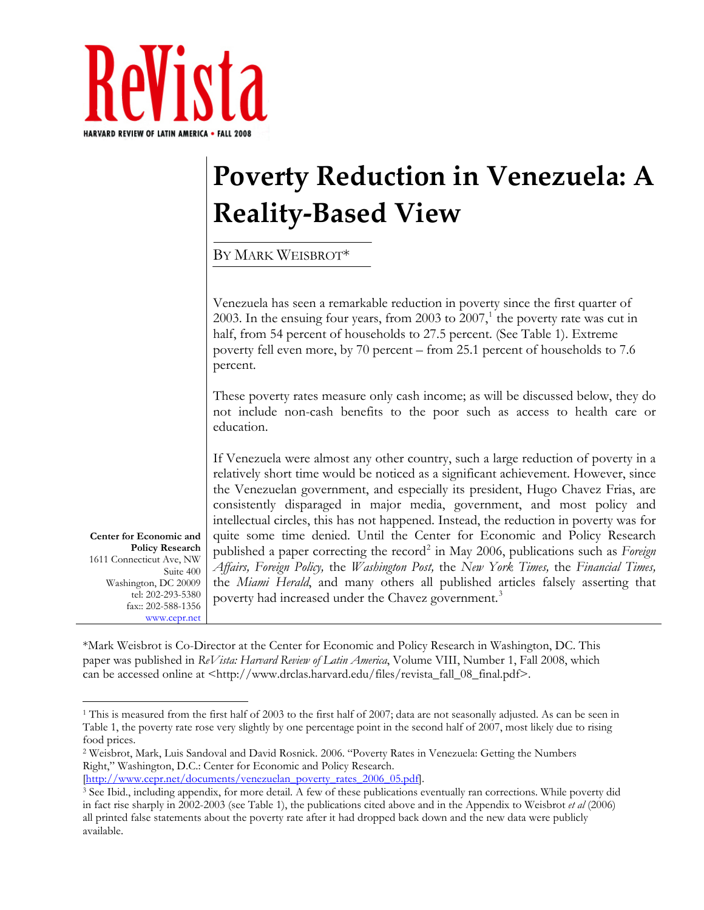

## **Poverty Reduction in Venezuela: A Reality‐Based View**

BY MARK WEISBROT\*

Venezuela has seen a remarkable reduction in poverty since the first quarter of 2003. In the ensuing four years, from 2003 to 2007, $1$  the poverty rate was cut in half, from 54 percent of households to 27.5 percent. (See Table 1). Extreme poverty fell even more, by 70 percent – from 25.1 percent of households to 7.6 percent.

These poverty rates measure only cash income; as will be discussed below, they do not include non-cash benefits to the poor such as access to health care or education.

If Venezuela were almost any other country, such a large reduction of poverty in a relatively short time would be noticed as a significant achievement. However, since the Venezuelan government, and especially its president, Hugo Chavez Frias, are consistently disparaged in major media, government, and most policy and intellectual circles, this has not happened. Instead, the reduction in poverty was for quite some time denied. Until the Center for Economic and Policy Research published a paper correcting the record<sup>[2](#page-0-1)</sup> in May 2006, publications such as *Foreign Affairs, Foreign Policy,* the *Washington Post,* the *New York Times,* the *Financial Times,*  the *Miami Herald*, and many others all published articles falsely asserting that poverty had increased under the Chavez government.<sup>[3](#page-0-2)</sup>

**Center for Economic and Policy Research**  1611 Connecticut Ave, NW Suite 400 Washington, DC 20009 tel: 202-293-5380 fax:: 202-588-1356 www.cepr.net

 $\overline{a}$ 

\*Mark Weisbrot is Co-Director at the Center for Economic and Policy Research in Washington, DC. This paper was published in *ReVista: Harvard Review of Latin America*, Volume VIII, Number 1, Fall 2008, which can be accessed online at  $\langle \text{http://www.drclas.harvard.edu/files/revista_fall_08_final.pdf}\rangle$ .

<span id="page-0-0"></span><sup>&</sup>lt;sup>1</sup> This is measured from the first half of 2003 to the first half of 2007; data are not seasonally adjusted. As can be seen in Table 1, the poverty rate rose very slightly by one percentage point in the second half of 2007, most likely due to rising food prices.

<span id="page-0-1"></span><sup>2</sup> Weisbrot, Mark, Luis Sandoval and David Rosnick. 2006. "Poverty Rates in Venezuela: Getting the Numbers Right," Washington, D.C.: Center for Economic and Policy Research.

<span id="page-0-2"></span><sup>[</sup>[http://www.cepr.net/documents/venezuelan\\_poverty\\_rates\\_2006\\_05.pdf](http://www.cepr.net/documents/venezuelan_poverty_rates_2006_05.pdf)]. 3 See Ibid., including appendix, for more detail. A few of these publications eventually ran corrections. While poverty did in fact rise sharply in 2002-2003 (see Table 1), the publications cited above and in the Appendix to Weisbrot *et al* (2006) all printed false statements about the poverty rate after it had dropped back down and the new data were publicly available.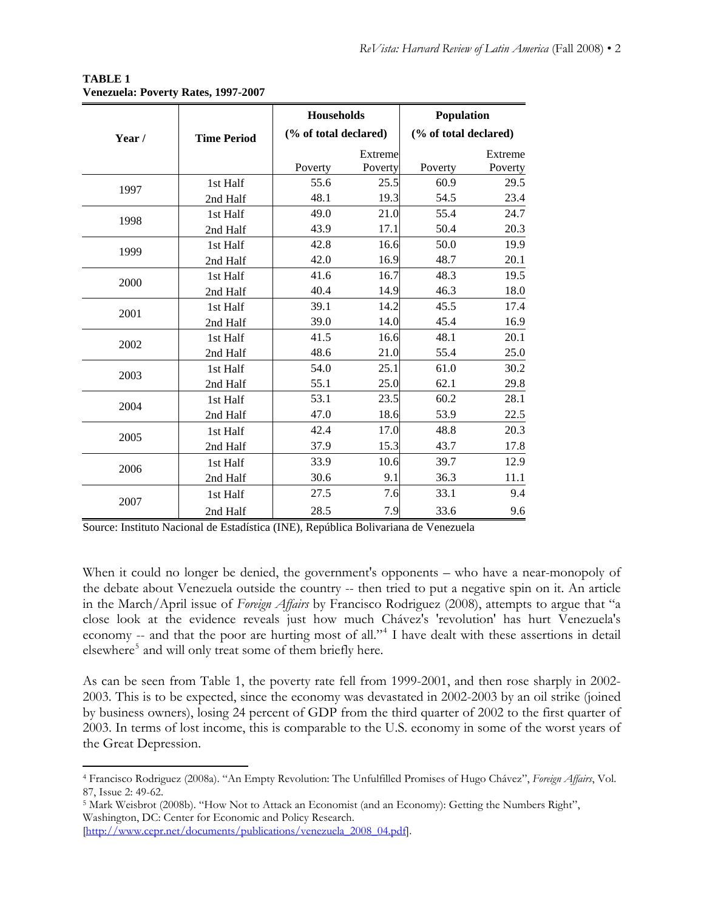|       |                    | <b>Households</b>     |                    | Population            |                    |
|-------|--------------------|-----------------------|--------------------|-----------------------|--------------------|
| Year/ | <b>Time Period</b> | (% of total declared) |                    | (% of total declared) |                    |
|       |                    | Poverty               | Extreme<br>Poverty | Poverty               | Extreme<br>Poverty |
| 1997  | 1st Half           | 55.6                  | 25.5               | 60.9                  | 29.5               |
|       | 2nd Half           | 48.1                  | 19.3               | 54.5                  | 23.4               |
| 1998  | 1st Half           | 49.0                  | 21.0               | 55.4                  | 24.7               |
|       | 2nd Half           | 43.9                  | 17.1               | 50.4                  | 20.3               |
| 1999  | 1st Half           | 42.8                  | 16.6               | 50.0                  | 19.9               |
|       | 2nd Half           | 42.0                  | 16.9               | 48.7                  | 20.1               |
| 2000  | 1st Half           | 41.6                  | 16.7               | 48.3                  | 19.5               |
|       | 2nd Half           | 40.4                  | 14.9               | 46.3                  | 18.0               |
| 2001  | 1st Half           | 39.1                  | 14.2               | 45.5                  | 17.4               |
|       | 2nd Half           | 39.0                  | 14.0               | 45.4                  | 16.9               |
| 2002  | 1st Half           | 41.5                  | 16.6               | 48.1                  | 20.1               |
|       | 2nd Half           | 48.6                  | 21.0               | 55.4                  | 25.0               |
| 2003  | 1st Half           | 54.0                  | 25.1               | 61.0                  | 30.2               |
|       | 2nd Half           | 55.1                  | 25.0               | 62.1                  | 29.8               |
| 2004  | 1st Half           | 53.1                  | 23.5               | 60.2                  | 28.1               |
|       | 2nd Half           | 47.0                  | 18.6               | 53.9                  | 22.5               |
| 2005  | 1st Half           | 42.4                  | 17.0               | 48.8                  | 20.3               |
|       | 2nd Half           | 37.9                  | 15.3               | 43.7                  | 17.8               |
| 2006  | 1st Half           | 33.9                  | 10.6               | 39.7                  | 12.9               |
|       | 2nd Half           | 30.6                  | 9.1                | 36.3                  | 11.1               |
| 2007  | 1st Half           | 27.5                  | 7.6                | 33.1                  | 9.4                |
|       | 2nd Half           | 28.5                  | 7.9                | 33.6                  | 9.6                |

## **TABLE 1 Venezuela: Poverty Rates, 1997-2007**

Source: Instituto Nacional de Estadística (INE), República Bolivariana de Venezuela

When it could no longer be denied, the government's opponents – who have a near-monopoly of the debate about Venezuela outside the country -- then tried to put a negative spin on it. An article in the March/April issue of *Foreign Affairs* by Francisco Rodriguez (2008), attempts to argue that "a close look at the evidence reveals just how much Chávez's 'revolution' has hurt Venezuela's economy -- and that the poor are hurting most of all."<sup>[4](#page-1-0)</sup> I have dealt with these assertions in detail elsewhere<sup>[5](#page-1-1)</sup> and will only treat some of them briefly here.

As can be seen from Table 1, the poverty rate fell from 1999-2001, and then rose sharply in 2002- 2003. This is to be expected, since the economy was devastated in 2002-2003 by an oil strike (joined by business owners), losing 24 percent of GDP from the third quarter of 2002 to the first quarter of 2003. In terms of lost income, this is comparable to the U.S. economy in some of the worst years of the Great Depression.

 $\overline{a}$ 

<span id="page-1-0"></span><sup>4</sup> Francisco Rodriguez (2008a). "An Empty Revolution: The Unfulfilled Promises of Hugo Chávez", *Foreign Affairs*, Vol. 87, Issue 2: 49-62.

<span id="page-1-1"></span><sup>5</sup> Mark Weisbrot (2008b). "How Not to Attack an Economist (and an Economy): Getting the Numbers Right", Washington, DC: Center for Economic and Policy Research.

<sup>[</sup>[http://www.cepr.net/documents/publications/venezuela\\_2008\\_04.pdf](http://www.cepr.net/documents/publications/venezuela_2008_04.pdf)].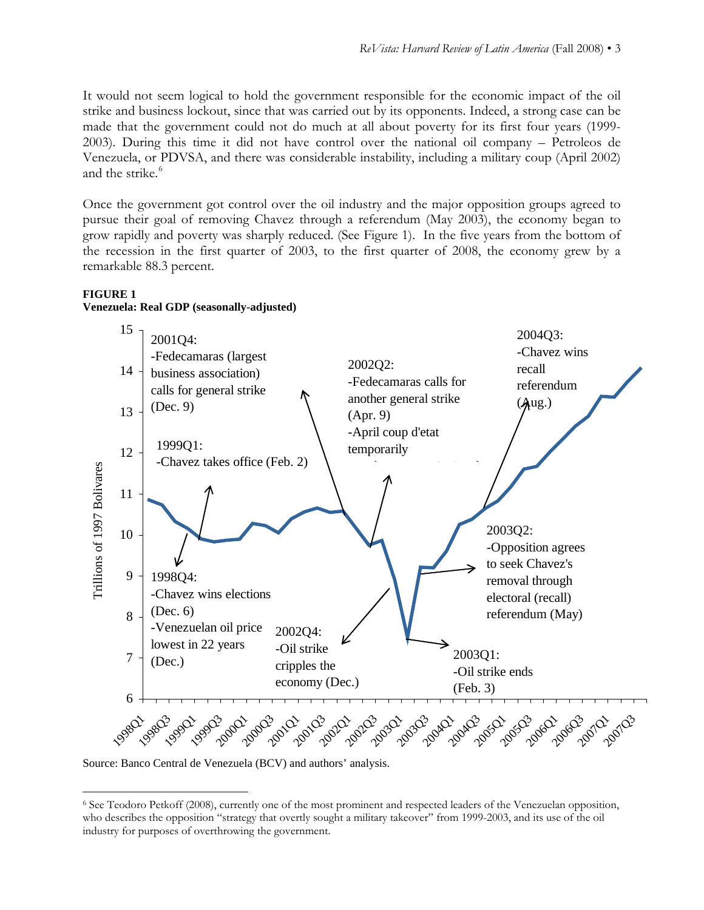It would not seem logical to hold the government responsible for the economic impact of the oil strike and business lockout, since that was carried out by its opponents. Indeed, a strong case can be made that the government could not do much at all about poverty for its first four years (1999- 2003). During this time it did not have control over the national oil company – Petroleos de Venezuela, or PDVSA, and there was considerable instability, including a military coup (April 2002) and the strike.<sup>[6](#page-2-0)</sup>

Once the government got control over the oil industry and the major opposition groups agreed to pursue their goal of removing Chavez through a referendum (May 2003), the economy began to grow rapidly and poverty was sharply reduced. (See Figure 1). In the five years from the bottom of the recession in the first quarter of 2003, to the first quarter of 2008, the economy grew by a remarkable 88.3 percent.

## **FIGURE 1 Venezuela: Real GDP (seasonally-adjusted)**



Source: Banco Central de Venezuela (BCV) and authors' analysis.

 $\overline{a}$ 

<span id="page-2-0"></span><sup>6</sup> See Teodoro Petkoff (2008), currently one of the most prominent and respected leaders of the Venezuelan opposition, who describes the opposition "strategy that overtly sought a military takeover" from 1999-2003, and its use of the oil industry for purposes of overthrowing the government.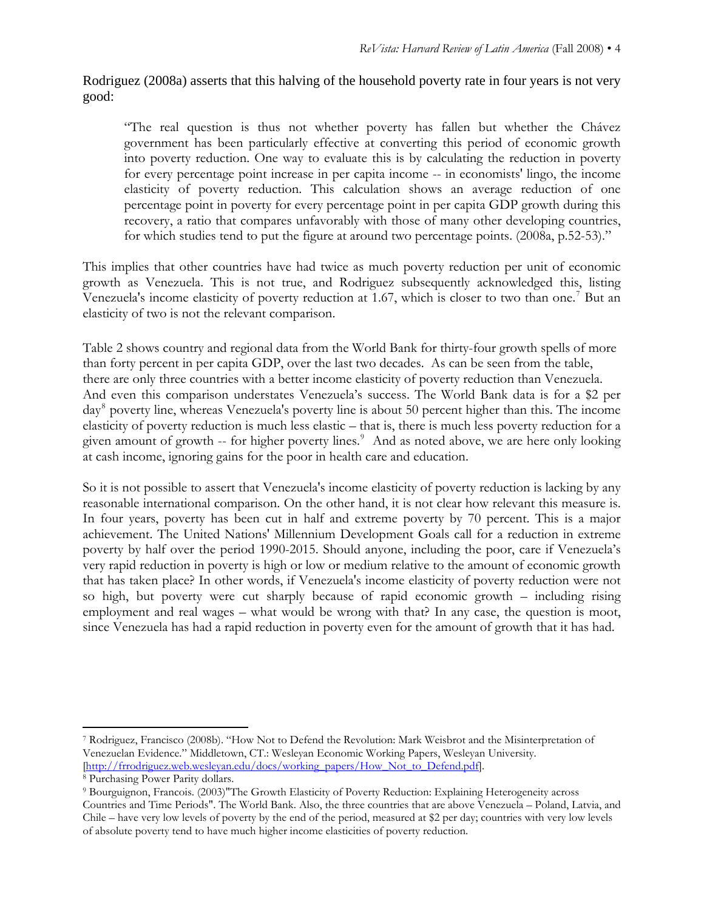Rodriguez (2008a) asserts that this halving of the household poverty rate in four years is not very good:

"The real question is thus not whether poverty has fallen but whether the Chávez government has been particularly effective at converting this period of economic growth into poverty reduction. One way to evaluate this is by calculating the reduction in poverty for every percentage point increase in per capita income -- in economists' lingo, the income elasticity of poverty reduction. This calculation shows an average reduction of one percentage point in poverty for every percentage point in per capita GDP growth during this recovery, a ratio that compares unfavorably with those of many other developing countries, for which studies tend to put the figure at around two percentage points. (2008a, p.52-53)."

This implies that other countries have had twice as much poverty reduction per unit of economic growth as Venezuela. This is not true, and Rodriguez subsequently acknowledged this, listing Venezuela's income elasticity of poverty reduction at 1.6[7](#page-3-0), which is closer to two than one.<sup>7</sup> But an elasticity of two is not the relevant comparison.

Table 2 shows country and regional data from the World Bank for thirty-four growth spells of more than forty percent in per capita GDP, over the last two decades. As can be seen from the table, there are only three countries with a better income elasticity of poverty reduction than Venezuela. And even this comparison understates Venezuela's success. The World Bank data is for a \$2 per day<sup>[8](#page-3-1)</sup> poverty line, whereas Venezuela's poverty line is about 50 percent higher than this. The income elasticity of poverty reduction is much less elastic – that is, there is much less poverty reduction for a given amount of growth -- for higher poverty lines.<sup>[9](#page-3-2)</sup> And as noted above, we are here only looking at cash income, ignoring gains for the poor in health care and education.

So it is not possible to assert that Venezuela's income elasticity of poverty reduction is lacking by any reasonable international comparison. On the other hand, it is not clear how relevant this measure is. In four years, poverty has been cut in half and extreme poverty by 70 percent. This is a major achievement. The United Nations' Millennium Development Goals call for a reduction in extreme poverty by half over the period 1990-2015. Should anyone, including the poor, care if Venezuela's very rapid reduction in poverty is high or low or medium relative to the amount of economic growth that has taken place? In other words, if Venezuela's income elasticity of poverty reduction were not so high, but poverty were cut sharply because of rapid economic growth – including rising employment and real wages – what would be wrong with that? In any case, the question is moot, since Venezuela has had a rapid reduction in poverty even for the amount of growth that it has had.

 $\overline{a}$ 

<span id="page-3-0"></span><sup>7</sup> Rodriguez, Francisco (2008b). "How Not to Defend the Revolution: Mark Weisbrot and the Misinterpretation of Venezuelan Evidence." Middletown, CT.: Wesleyan Economic Working Papers, Wesleyan University. [[http://frrodriguez.web.wesleyan.edu/docs/working\\_papers/How\\_Not\\_to\\_Defend.pdf\]](http://frrodriguez.web.wesleyan.edu/docs/working_papers/How_Not_to_Defend.pdf). 8 Purchasing Power Parity dollars.

<span id="page-3-1"></span>

<span id="page-3-2"></span><sup>9</sup> Bourguignon, Francois. (2003)"The Growth Elasticity of Poverty Reduction: Explaining Heterogeneity across Countries and Time Periods". The World Bank. Also, the three countries that are above Venezuela – Poland, Latvia, and Chile – have very low levels of poverty by the end of the period, measured at \$2 per day; countries with very low levels of absolute poverty tend to have much higher income elasticities of poverty reduction.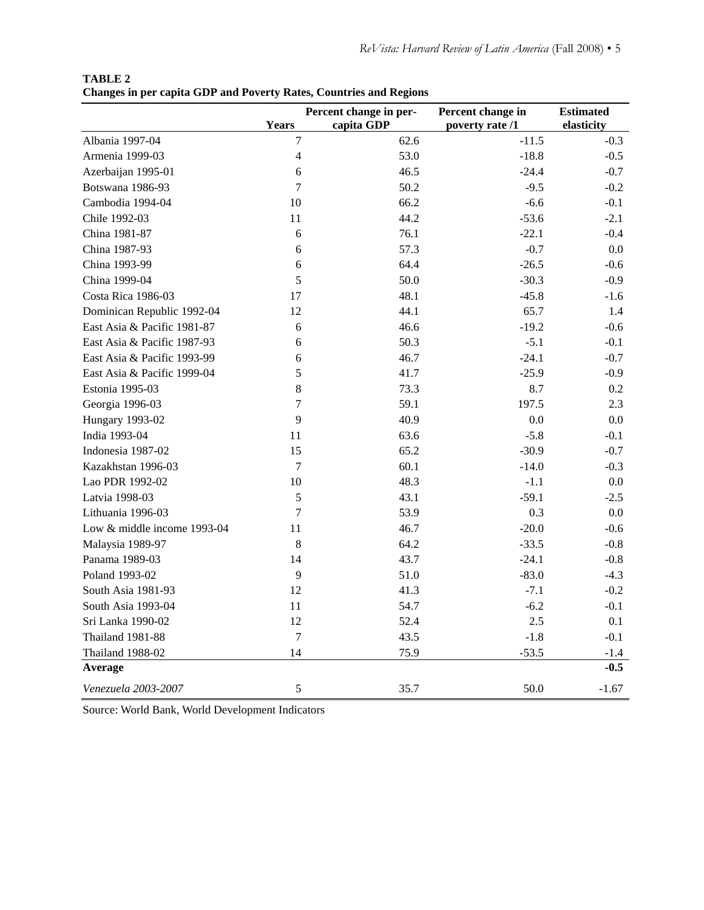| <b>TABLE 2</b>                                                            |  |  |  |  |
|---------------------------------------------------------------------------|--|--|--|--|
| <b>Changes in per capita GDP and Poverty Rates, Countries and Regions</b> |  |  |  |  |

|                             |                | Percent change in per- | Percent change in | <b>Estimated</b> |
|-----------------------------|----------------|------------------------|-------------------|------------------|
|                             | Years          | capita GDP             | poverty rate /1   | elasticity       |
| Albania 1997-04             | 7              | 62.6                   | $-11.5$           | $-0.3$           |
| Armenia 1999-03             | $\overline{4}$ | 53.0                   | $-18.8$           | $-0.5$           |
| Azerbaijan 1995-01          | 6              | 46.5                   | $-24.4$           | $-0.7$           |
| Botswana 1986-93            | 7              | 50.2                   | $-9.5$            | $-0.2$           |
| Cambodia 1994-04            | 10             | 66.2                   | $-6.6$            | $-0.1$           |
| Chile 1992-03               | 11             | 44.2                   | $-53.6$           | $-2.1$           |
| China 1981-87               | 6              | 76.1                   | $-22.1$           | $-0.4$           |
| China 1987-93               | 6              | 57.3                   | $-0.7$            | 0.0              |
| China 1993-99               | 6              | 64.4                   | $-26.5$           | $-0.6$           |
| China 1999-04               | 5              | 50.0                   | $-30.3$           | $-0.9$           |
| Costa Rica 1986-03          | 17             | 48.1                   | $-45.8$           | $-1.6$           |
| Dominican Republic 1992-04  | 12             | 44.1                   | 65.7              | 1.4              |
| East Asia & Pacific 1981-87 | 6              | 46.6                   | $-19.2$           | $-0.6$           |
| East Asia & Pacific 1987-93 | 6              | 50.3                   | $-5.1$            | $-0.1$           |
| East Asia & Pacific 1993-99 | 6              | 46.7                   | $-24.1$           | $-0.7$           |
| East Asia & Pacific 1999-04 | 5              | 41.7                   | $-25.9$           | $-0.9$           |
| Estonia 1995-03             | 8              | 73.3                   | 8.7               | 0.2              |
| Georgia 1996-03             | $\overline{7}$ | 59.1                   | 197.5             | 2.3              |
| <b>Hungary 1993-02</b>      | 9              | 40.9                   | 0.0               | 0.0              |
| India 1993-04               | 11             | 63.6                   | $-5.8$            | $-0.1$           |
| Indonesia 1987-02           | 15             | 65.2                   | $-30.9$           | $-0.7$           |
| Kazakhstan 1996-03          | 7              | 60.1                   | $-14.0$           | $-0.3$           |
| Lao PDR 1992-02             | 10             | 48.3                   | $-1.1$            | 0.0              |
| Latvia 1998-03              | 5              | 43.1                   | $-59.1$           | $-2.5$           |
| Lithuania 1996-03           | $\overline{7}$ | 53.9                   | 0.3               | 0.0              |
| Low & middle income 1993-04 | 11             | 46.7                   | $-20.0$           | $-0.6$           |
| Malaysia 1989-97            | 8              | 64.2                   | $-33.5$           | $-0.8$           |
| Panama 1989-03              | 14             | 43.7                   | $-24.1$           | $-0.8$           |
| Poland 1993-02              | 9              | 51.0                   | $-83.0$           | $-4.3$           |
| South Asia 1981-93          | 12             | 41.3                   | $-7.1$            | $-0.2$           |
| South Asia 1993-04          | 11             | 54.7                   | $-6.2$            | $-0.1$           |
| Sri Lanka 1990-02           | 12             | 52.4                   | 2.5               | 0.1              |
| <b>Thailand 1981-88</b>     | $\overline{7}$ | 43.5                   | $-1.8$            | $-0.1$           |
| <b>Thailand 1988-02</b>     | 14             | 75.9                   | $-53.5$           | $-1.4$           |
| Average                     |                |                        |                   | $-0.5$           |
| Venezuela 2003-2007         | 5              | 35.7                   | 50.0              | $-1.67$          |

Source: World Bank, World Development Indicators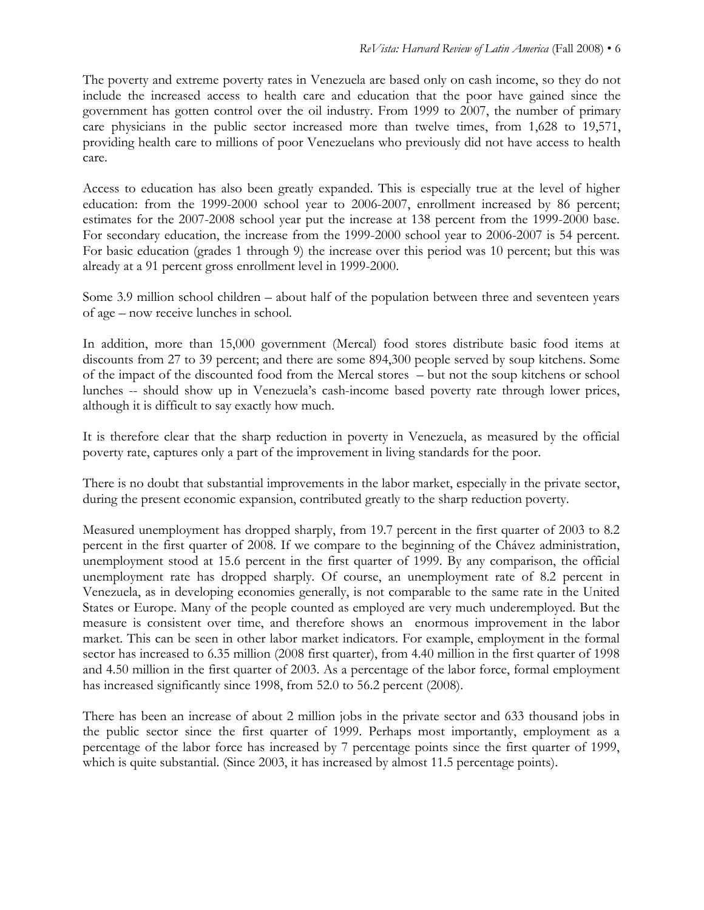The poverty and extreme poverty rates in Venezuela are based only on cash income, so they do not include the increased access to health care and education that the poor have gained since the government has gotten control over the oil industry. From 1999 to 2007, the number of primary care physicians in the public sector increased more than twelve times, from 1,628 to 19,571, providing health care to millions of poor Venezuelans who previously did not have access to health care.

Access to education has also been greatly expanded. This is especially true at the level of higher education: from the 1999-2000 school year to 2006-2007, enrollment increased by 86 percent; estimates for the 2007-2008 school year put the increase at 138 percent from the 1999-2000 base. For secondary education, the increase from the 1999-2000 school year to 2006-2007 is 54 percent. For basic education (grades 1 through 9) the increase over this period was 10 percent; but this was already at a 91 percent gross enrollment level in 1999-2000.

Some 3.9 million school children – about half of the population between three and seventeen years of age – now receive lunches in school.

In addition, more than 15,000 government (Mercal) food stores distribute basic food items at discounts from 27 to 39 percent; and there are some 894,300 people served by soup kitchens. Some of the impact of the discounted food from the Mercal stores – but not the soup kitchens or school lunches -- should show up in Venezuela's cash-income based poverty rate through lower prices, although it is difficult to say exactly how much.

It is therefore clear that the sharp reduction in poverty in Venezuela, as measured by the official poverty rate, captures only a part of the improvement in living standards for the poor.

There is no doubt that substantial improvements in the labor market, especially in the private sector, during the present economic expansion, contributed greatly to the sharp reduction poverty.

Measured unemployment has dropped sharply, from 19.7 percent in the first quarter of 2003 to 8.2 percent in the first quarter of 2008. If we compare to the beginning of the Chávez administration, unemployment stood at 15.6 percent in the first quarter of 1999. By any comparison, the official unemployment rate has dropped sharply. Of course, an unemployment rate of 8.2 percent in Venezuela, as in developing economies generally, is not comparable to the same rate in the United States or Europe. Many of the people counted as employed are very much underemployed. But the measure is consistent over time, and therefore shows an enormous improvement in the labor market. This can be seen in other labor market indicators. For example, employment in the formal sector has increased to 6.35 million (2008 first quarter), from 4.40 million in the first quarter of 1998 and 4.50 million in the first quarter of 2003. As a percentage of the labor force, formal employment has increased significantly since 1998, from 52.0 to 56.2 percent (2008).

There has been an increase of about 2 million jobs in the private sector and 633 thousand jobs in the public sector since the first quarter of 1999. Perhaps most importantly, employment as a percentage of the labor force has increased by 7 percentage points since the first quarter of 1999, which is quite substantial. (Since 2003, it has increased by almost 11.5 percentage points).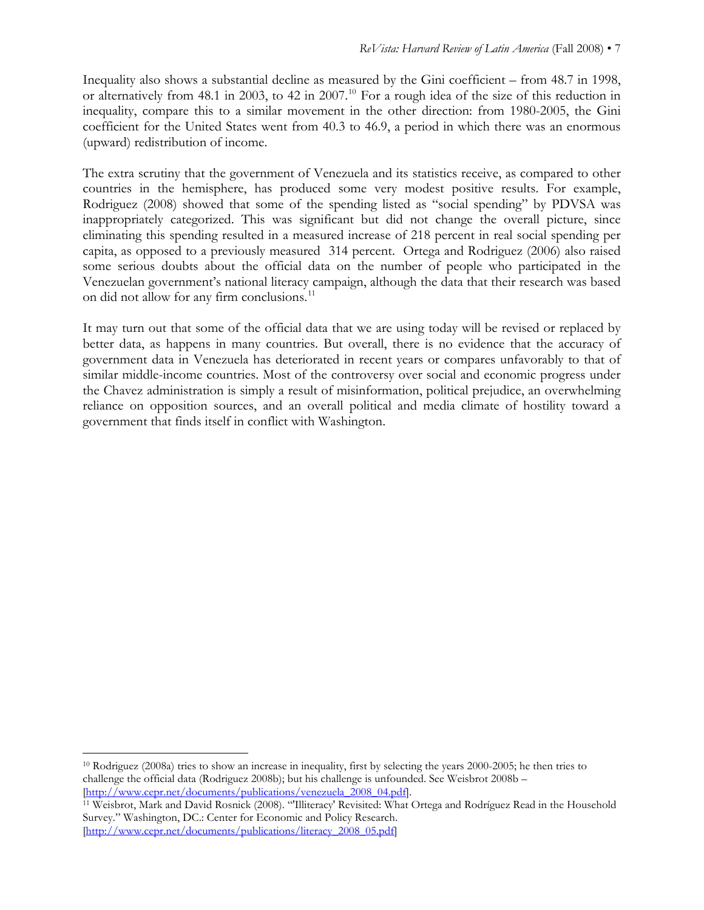Inequality also shows a substantial decline as measured by the Gini coefficient – from 48.7 in 1998, or alternatively from 48.1 in 2003, to 42 in 2007.<sup>[10](#page-6-0)</sup> For a rough idea of the size of this reduction in inequality, compare this to a similar movement in the other direction: from 1980-2005, the Gini coefficient for the United States went from 40.3 to 46.9, a period in which there was an enormous (upward) redistribution of income.

The extra scrutiny that the government of Venezuela and its statistics receive, as compared to other countries in the hemisphere, has produced some very modest positive results. For example, Rodriguez (2008) showed that some of the spending listed as "social spending" by PDVSA was inappropriately categorized. This was significant but did not change the overall picture, since eliminating this spending resulted in a measured increase of 218 percent in real social spending per capita, as opposed to a previously measured 314 percent. Ortega and Rodriguez (2006) also raised some serious doubts about the official data on the number of people who participated in the Venezuelan government's national literacy campaign, although the data that their research was based on did not allow for any firm conclusions.<sup>[11](#page-6-1)</sup>

It may turn out that some of the official data that we are using today will be revised or replaced by better data, as happens in many countries. But overall, there is no evidence that the accuracy of government data in Venezuela has deteriorated in recent years or compares unfavorably to that of similar middle-income countries. Most of the controversy over social and economic progress under the Chavez administration is simply a result of misinformation, political prejudice, an overwhelming reliance on opposition sources, and an overall political and media climate of hostility toward a government that finds itself in conflict with Washington.

1

<span id="page-6-0"></span><sup>10</sup> Rodriguez (2008a) tries to show an increase in inequality, first by selecting the years 2000-2005; he then tries to challenge the official data (Rodriguez 2008b); but his challenge is unfounded. See Weisbrot 2008b – [[http://www.cepr.net/documents/publications/venezuela\\_2008\\_04.pdf](http://www.cepr.net/documents/publications/venezuela_2008_04.pdf)]. 11 Weisbrot, Mark and David Rosnick (2008). "'Illiteracy' Revisited: What Ortega and Rodríguez Read in the Household

<span id="page-6-1"></span>Survey." Washington, DC.: Center for Economic and Policy Research. [[http://www.cepr.net/documents/publications/literacy\\_2008\\_05.pdf\]](http://www.cepr.net/documents/publications/literacy_2008_05.pdf)